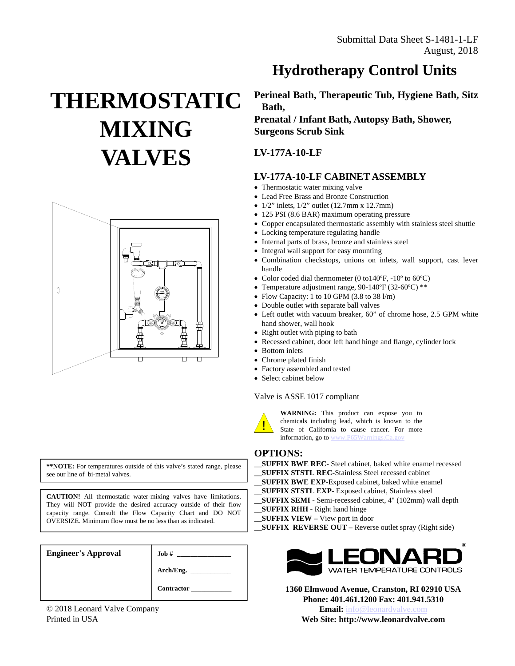# **THERMOSTATIC MIXING VALVES**



**\*\*NOTE:** For temperatures outside of this valve's stated range, please see our line of bi-metal valves.

**CAUTION!** All thermostatic water-mixing valves have limitations. They will NOT provide the desired accuracy outside of their flow capacity range. Consult the Flow Capacity Chart and DO NOT OVERSIZE. Minimum flow must be no less than as indicated.

| <b>Engineer's Approval</b> | Job#             |
|----------------------------|------------------|
|                            | Arch/Eng. $\_\_$ |
|                            | Contractor       |

© 2018 Leonard Valve Company Printed in USA

## **Hydrotherapy Control Units**

**Perineal Bath, Therapeutic Tub, Hygiene Bath, Sitz Bath, Prenatal / Infant Bath, Autopsy Bath, Shower,**

**Surgeons Scrub Sink**

### **LV-177A-10-LF**

### **LV-177A-10-LF CABINET ASSEMBLY**

- Thermostatic water mixing valve
- Lead Free Brass and Bronze Construction
- $1/2$ " inlets,  $1/2$ " outlet (12.7mm x 12.7mm)
- 125 PSI (8.6 BAR) maximum operating pressure
- Copper encapsulated thermostatic assembly with stainless steel shuttle
- Locking temperature regulating handle
- Internal parts of brass, bronze and stainless steel
- Integral wall support for easy mounting
- Combination checkstops, unions on inlets, wall support, cast lever handle
- Color coded dial thermometer (0 to140°F, -10° to 60°C)
- Temperature adjustment range, 90-140ºF (32-60ºC) \*\*
- Flow Capacity: 1 to 10 GPM (3.8 to 38 l/m)
- Double outlet with separate ball valves
- Left outlet with vacuum breaker, 60" of chrome hose, 2.5 GPM white hand shower, wall hook
- Right outlet with piping to bath
- Recessed cabinet, door left hand hinge and flange, cylinder lock
- Bottom inlets
- Chrome plated finish
- Factory assembled and tested
- Select cabinet below

#### Valve is ASSE 1017 compliant



**WARNING:** This product can expose you to chemicals including lead, which is known to the State of California to cause cancer. For more information, go to www.P65Warnings.Ca.gov

#### **OPTIONS:**

\_\_**SUFFIX BWE REC-** Steel cabinet, baked white enamel recessed \_\_**SUFFIX STSTL REC-**Stainless Steel recessed cabinet **\_\_SUFFIX BWE EXP-**Exposed cabinet, baked white enamel **\_\_SUFFIX STSTL EXP-** Exposed cabinet, Stainless steel **\_\_SUFFIX SEMI -** Semi-recessed cabinet, 4" (102mm) wall depth **\_\_SUFFIX RHH** - Right hand hinge \_\_**SUFFIX VIEW** – View port in door \_\_**SUFFIX REVERSE OUT** – Reverse outlet spray (Right side)



**1360 Elmwood Avenue, Cranston, RI 02910 USA Phone: 401.461.1200 Fax: 401.941.5310 Email:** info@leonardvalve.com **Web Site: http://www.leonardvalve.com**